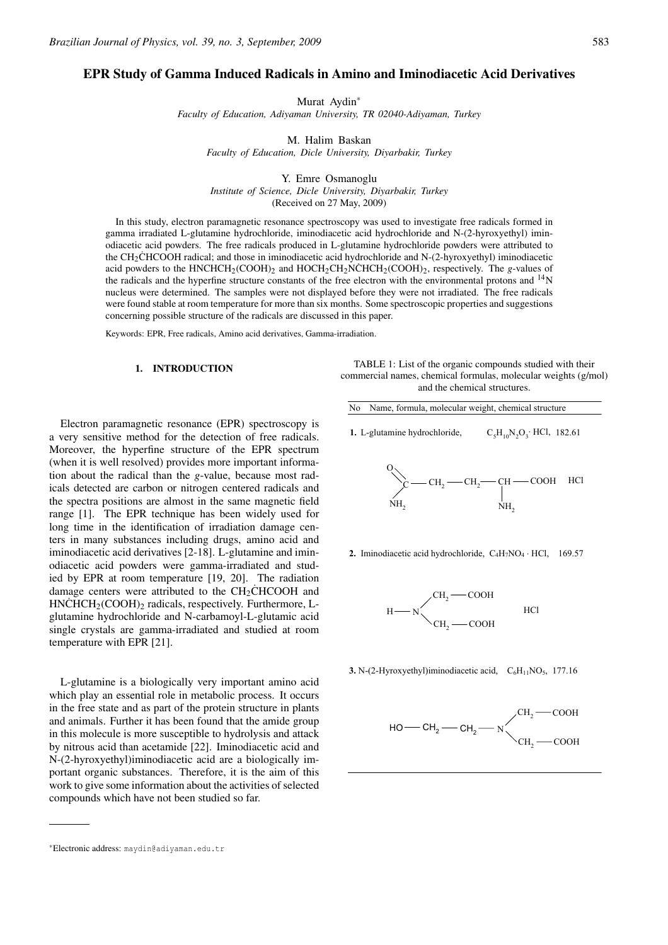# EPR Study of Gamma Induced Radicals in Amino and Iminodiacetic Acid Derivatives

Murat Aydin∗ *Faculty of Education, Adiyaman University, TR 02040-Adiyaman, Turkey*

M. Halim Baskan *Faculty of Education, Dicle University, Diyarbakir, Turkey*

Y. Emre Osmanoglu *Institute of Science, Dicle University, Diyarbakir, Turkey* (Received on 27 May, 2009)

In this study, electron paramagnetic resonance spectroscopy was used to investigate free radicals formed in gamma irradiated L-glutamine hydrochloride, iminodiacetic acid hydrochloride and N-(2-hyroxyethyl) iminodiacetic acid powders. The free radicals produced in L-glutamine hydrochloride powders were attributed to the CH<sub>2</sub>CHCOOH radical; and those in iminodiacetic acid hydrochloride and N-(2-hyroxyethyl) iminodiacetic acid powders to the HNCHCH<sub>2</sub>(COOH)<sub>2</sub> and HOCH<sub>2</sub>CH<sub>2</sub>NCHCH<sub>2</sub>(COOH)<sub>2</sub>, respectively. The *g*-values of the radicals and the hyperfine structure constants of the free electron with the environmental protons and  $\rm{^{14}N}$ nucleus were determined. The samples were not displayed before they were not irradiated. The free radicals were found stable at room temperature for more than six months. Some spectroscopic properties and suggestions concerning possible structure of the radicals are discussed in this paper.

Keywords: EPR, Free radicals, Amino acid derivatives, Gamma-irradiation.

### 1. INTRODUCTION

Electron paramagnetic resonance (EPR) spectroscopy is a very sensitive method for the detection of free radicals. Moreover, the hyperfine structure of the EPR spectrum (when it is well resolved) provides more important information about the radical than the *g*-value, because most radicals detected are carbon or nitrogen centered radicals and the spectra positions are almost in the same magnetic field range [1]. The EPR technique has been widely used for long time in the identification of irradiation damage centers in many substances including drugs, amino acid and iminodiacetic acid derivatives [2-18]. L-glutamine and iminodiacetic acid powders were gamma-irradiated and studied by EPR at room temperature [19, 20]. The radiation damage centers were attributed to the  $CH<sub>2</sub>CHCOOH$  and  $HNCHCH<sub>2</sub>(COOH)<sub>2</sub>$  radicals, respectively. Furthermore, Lglutamine hydrochloride and N-carbamoyl-L-glutamic acid single crystals are gamma-irradiated and studied at room temperature with EPR [21].

L-glutamine is a biologically very important amino acid which play an essential role in metabolic process. It occurs in the free state and as part of the protein structure in plants and animals. Further it has been found that the amide group in this molecule is more susceptible to hydrolysis and attack by nitrous acid than acetamide [22]. Iminodiacetic acid and N-(2-hyroxyethyl)iminodiacetic acid are a biologically important organic substances. Therefore, it is the aim of this work to give some information about the activities of selected compounds which have not been studied so far.

TABLE 1: List of the organic compounds studied with their commercial names, chemical formulas, molecular weights (g/mol) and the chemical structures.

No Name, formula, molecular weight, chemical structure

 $C_5H_{10}N_2O_3$ . HCl, 182.61 1. L-glutamine hydrochloride,

$$
\underbrace{\left.\sum_{\text{NH}_2} - \text{CH}_2 - \text{CH}_2 - \text{COOH}}_{\text{NH}_2} \right. \text{HCl}
$$

**2.** Iminodiacetic acid hydrochloride,  $C_4H_7NO_4 \cdot HCl$ , 169.57



**3.** N-(2-Hyroxyethyl)iminodiacetic acid,  $C_6H_{11}NO_5$ , 177.16



<sup>∗</sup>Electronic address: maydin@adiyaman.edu.tr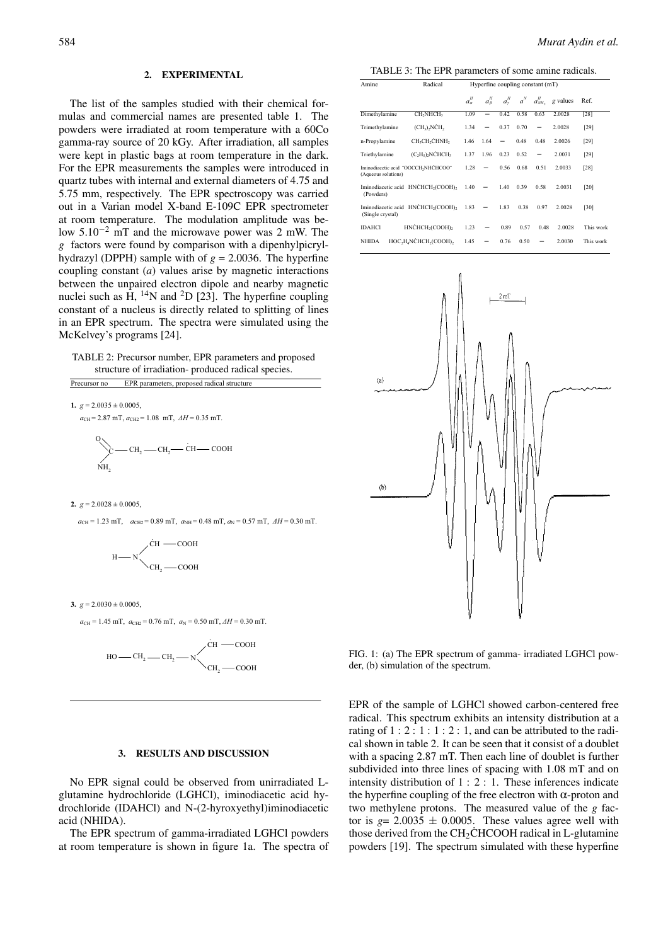### 2. EXPERIMENTAL

The list of the samples studied with their chemical formulas and commercial names are presented table 1. The powders were irradiated at room temperature with a 60Co gamma-ray source of 20 kGy. After irradiation, all samples were kept in plastic bags at room temperature in the dark. For the EPR measurements the samples were introduced in quartz tubes with internal and external diameters of 4.75 and 5.75 mm, respectively. The EPR spectroscopy was carried out in a Varian model X-band E-109C EPR spectrometer at room temperature. The modulation amplitude was below 5.10−<sup>2</sup> mT and the microwave power was 2 mW. The *g* factors were found by comparison with a dipenhylpicrylhydrazyl (DPPH) sample with of  $g = 2.0036$ . The hyperfine coupling constant (*a*) values arise by magnetic interactions between the unpaired electron dipole and nearby magnetic nuclei such as H,  $^{14}N$  and  $^{2}D$  [23]. The hyperfine coupling constant of a nucleus is directly related to splitting of lines in an EPR spectrum. The spectra were simulated using the McKelvey's programs [24].

TABLE 2: Precursor number, EPR parameters and proposed structure of irradiation- produced radical species. Precursor no EPR parameters, proposed radical structure

**1.**  $g = 2.0035 \pm 0.0005$ ,

$$
a_{\text{CH}} = 2.87 \text{ mT}, a_{\text{CH2}} = 1.08 \text{ mT}, \ \Delta H = 0.35 \text{ mT}.
$$
  
\n
$$
C \longrightarrow CH_2 \longrightarrow CH_2 \longrightarrow CH \longrightarrow COOH
$$
\n
$$
NH_2
$$

#### **2.**  $g = 2.0028 \pm 0.0005$ ,

 $a_{CH} = 1.23$  mT,  $a_{CH2} = 0.89$  mT,  $a_{NH} = 0.48$  mT,  $a_N = 0.57$  mT,  $AH = 0.30$  mT.

H . CH2 COOH N COOH CH

**3.**  $g = 2.0030 \pm 0.0005$ ,

 $a_{\text{CH}} = 1.45 \text{ mT}$ ,  $a_{\text{CH2}} = 0.76 \text{ mT}$ ,  $a_{\text{N}} = 0.50 \text{ mT}$ ,  $\Delta H = 0.30 \text{ mT}$ .

$$
_{HO\longrightarrow CH_{2}\longrightarrow CH_{2}\longrightarrow\diagdown\stackrel{\dot{C}H\longrightarrow COOH}{\searrow}_{CH_{2}\longrightarrow COOH}}
$$

## 3. RESULTS AND DISCUSSION

No EPR signal could be observed from unirradiated Lglutamine hydrochloride (LGHCl), iminodiacetic acid hydrochloride (IDAHCl) and N-(2-hyroxyethyl)iminodiacetic acid (NHIDA).

The EPR spectrum of gamma-irradiated LGHCl powders at room temperature is shown in figure 1a. The spectra of

TABLE 3: The EPR parameters of some amine radicals.

| Amine                                                                          | Radical                                                                | Hyperfine coupling constant (mT) |         |             |       |                          |          |           |
|--------------------------------------------------------------------------------|------------------------------------------------------------------------|----------------------------------|---------|-------------|-------|--------------------------|----------|-----------|
|                                                                                |                                                                        | H<br>a"                          | $a_B^H$ | $a_{\nu}^H$ | $a^N$ | $a_{NH}^H$               | g values | Ref.      |
| Dimethylamine                                                                  | CH <sub>2</sub> NHCH <sub>3</sub>                                      | 1.09                             |         | 0.42        | 0.58  | 0.63                     | 2.0028   | $[28]$    |
| Trimethylamine                                                                 | $(CH_3)$ , $NCH_2$                                                     | 1.34                             |         | 0.37        | 0.70  | $\overline{\phantom{0}}$ | 2.0028   | [29]      |
| n-Propylamine                                                                  | CH <sub>3</sub> CH <sub>2</sub> CHNH <sub>2</sub>                      | 1.46                             | 1.64    | -           | 0.48  | 0.48                     | 2.0026   | $[29]$    |
| Triethylamine                                                                  | $(C, H5)$ , NCHCH <sub>3</sub>                                         | 1.37                             | 1.96    | 0.23        | 0.52  |                          | 2.0031   | $[29]$    |
| Iminodiacetic acid "OOCCH <sub>2</sub> NHCHCOO"<br>(Aqueous solutions)         |                                                                        | 1.28                             | -       | 0.56        | 0.68  | 0.51                     | 2.0033   | [28]      |
| Iminodiacetic acid HNCHCH <sub>2</sub> (COOH) <sub>2</sub><br>(Powders)        |                                                                        | 1.40                             |         | 1.40        | 0.39  | 0.58                     | 2.0031   | [20]      |
| Iminodiacetic acid HNCHCH <sub>2</sub> (COOH) <sub>2</sub><br>(Single crystal) |                                                                        | 1.83                             |         | 1.83        | 0.38  | 0.97                     | 2.0028   | [30]      |
| <b>IDAHCI</b>                                                                  | HNCHCH <sub>2</sub> (COOH) <sub>2</sub>                                | 1.23                             |         | 0.89        | 0.57  | 0.48                     | 2.0028   | This work |
| <b>NHIDA</b>                                                                   | HOC <sub>2</sub> H <sub>4</sub> NCHCH <sub>2</sub> (COOH) <sub>2</sub> | 1.45                             |         | 0.76        | 0.50  | -                        | 2.0030   | This work |



FIG. 1: (a) The EPR spectrum of gamma- irradiated LGHCl powder, (b) simulation of the spectrum.

EPR of the sample of LGHCl showed carbon-centered free radical. This spectrum exhibits an intensity distribution at a rating of  $1: 2: 1: 1: 2: 1$ , and can be attributed to the radical shown in table 2. It can be seen that it consist of a doublet with a spacing 2.87 mT. Then each line of doublet is further subdivided into three lines of spacing with 1.08 mT and on intensity distribution of 1 : 2 : 1. These inferences indicate the hyperfine coupling of the free electron with  $\alpha$ -proton and two methylene protons. The measured value of the *g* factor is  $g = 2.0035 \pm 0.0005$ . These values agree well with those derived from the CH<sub>2</sub>CHCOOH radical in L-glutamine powders [19]. The spectrum simulated with these hyperfine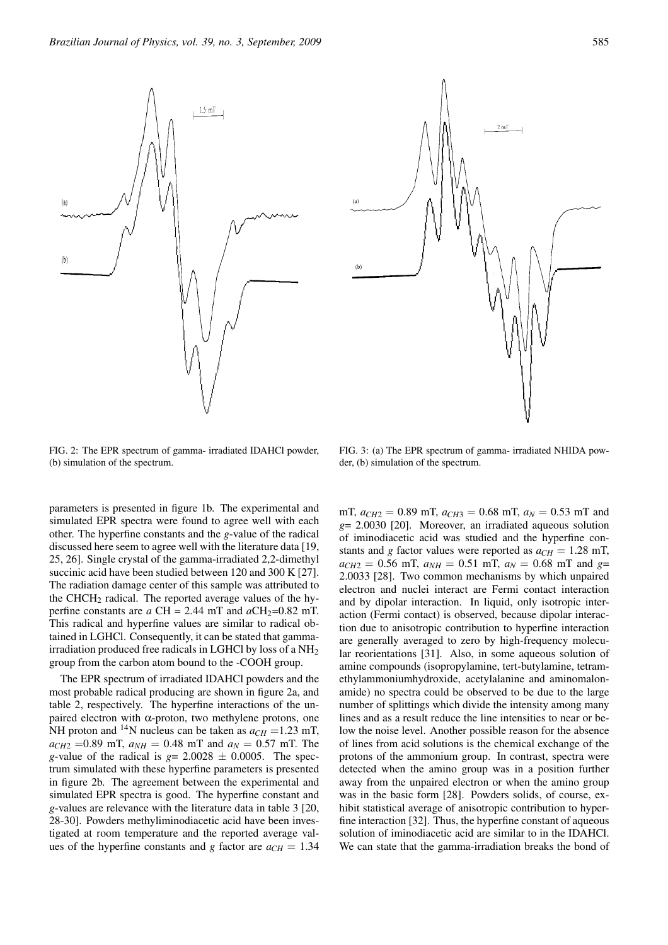$1.5$  mT

FIG. 2: The EPR spectrum of gamma- irradiated IDAHCl powder, (b) simulation of the spectrum.

parameters is presented in figure 1b. The experimental and simulated EPR spectra were found to agree well with each other. The hyperfine constants and the *g*-value of the radical discussed here seem to agree well with the literature data [19, 25, 26]. Single crystal of the gamma-irradiated 2,2-dimethyl succinic acid have been studied between 120 and 300 K [27]. The radiation damage center of this sample was attributed to the CHCH<sub>2</sub> radical. The reported average values of the hyperfine constants are  $a$  CH = 2.44 mT and  $aCH_2=0.82$  mT. This radical and hyperfine values are similar to radical obtained in LGHCl. Consequently, it can be stated that gammairradiation produced free radicals in LGHCl by loss of a NH2 group from the carbon atom bound to the -COOH group. The EPR spectrum of irradiated IDAHCl powders and the most probable radical producing are shown in figure 2a, and table 2, respectively. The hyperfine interactions of the unpaired electron with  $\alpha$ -proton, two methylene protons, one NH proton and <sup>14</sup>N nucleus can be taken as  $a_{CH} = 1.23$  mT,  $a_{CH2} = 0.89$  mT,  $a_{NH} = 0.48$  mT and  $a_N = 0.57$  mT. The *g*-value of the radical is  $g = 2.0028 \pm 0.0005$ . The spectrum simulated with these hyperfine parameters is presented in figure 2b. The agreement between the experimental and simulated EPR spectra is good. The hyperfine constant and *g*-values are relevance with the literature data in table 3 [20, 28-30]. Powders methyliminodiacetic acid have been investigated at room temperature and the reported average values of the hyperfine constants and *g* factor are  $a_{CH} = 1.34$ 

mT,  $a_{CH2} = 0.89$  mT,  $a_{CH3} = 0.68$  mT,  $a_N = 0.53$  mT and *g*= 2.0030 [20]. Moreover, an irradiated aqueous solution of iminodiacetic acid was studied and the hyperfine constants and *g* factor values were reported as  $a_{CH} = 1.28$  mT,  $a_{CH2} = 0.56$  mT,  $a_{NH} = 0.51$  mT,  $a_N = 0.68$  mT and  $g=$ 2.0033 [28]. Two common mechanisms by which unpaired electron and nuclei interact are Fermi contact interaction and by dipolar interaction. In liquid, only isotropic interaction (Fermi contact) is observed, because dipolar interaction due to anisotropic contribution to hyperfine interaction are generally averaged to zero by high-frequency molecular reorientations [31]. Also, in some aqueous solution of amine compounds (isopropylamine, tert-butylamine, tetramethylammoniumhydroxide, acetylalanine and aminomalonamide) no spectra could be observed to be due to the large number of splittings which divide the intensity among many lines and as a result reduce the line intensities to near or below the noise level. Another possible reason for the absence of lines from acid solutions is the chemical exchange of the protons of the ammonium group. In contrast, spectra were detected when the amino group was in a position further away from the unpaired electron or when the amino group was in the basic form [28]. Powders solids, of course, exhibit statistical average of anisotropic contribution to hyperfine interaction [32]. Thus, the hyperfine constant of aqueous solution of iminodiacetic acid are similar to in the IDAHCl.

We can state that the gamma-irradiation breaks the bond of

FIG. 3: (a) The EPR spectrum of gamma- irradiated NHIDA powder, (b) simulation of the spectrum.